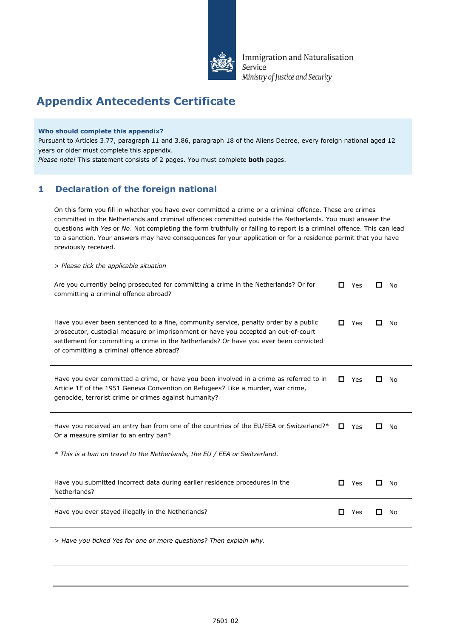

Immigration and Naturalisation Service Ministry of Justice and Security

# **Appendix Antecedents Certificate**

#### **Who should complete this appendix?**

Pursuant to Articles 3.77, paragraph 11 and 3.86, paragraph 18 of the Aliens Decree, every foreign national aged 12 years or older must complete this appendix.

*Please note!* This statement consists of 2 pages. You must complete **both** pages.

## **1 Declaration of the foreign national**

On this form you fill in whether you have ever committed a crime or a criminal offence. These are crimes committed in the Netherlands and criminal offences committed outside the Netherlands. You must answer the questions with *Yes* or *No*. Not completing the form truthfully or failing to report is a criminal offence. This can lead to a sanction. Your answers may have consequences for your application or for a residence permit that you have previously received.

*> Please tick the applicable situation*

| Are you currently being prosecuted for committing a crime in the Netherlands? Or for<br>committing a criminal offence abroad?                                                                                                                                                                                   | П            | Yes | l 1 | No |
|-----------------------------------------------------------------------------------------------------------------------------------------------------------------------------------------------------------------------------------------------------------------------------------------------------------------|--------------|-----|-----|----|
| Have you ever been sentenced to a fine, community service, penalty order by a public<br>prosecutor, custodial measure or imprisonment or have you accepted an out-of-court<br>settlement for committing a crime in the Netherlands? Or have you ever been convicted<br>of committing a criminal offence abroad? | П            | Yes |     | No |
| Have you ever committed a crime, or have you been involved in a crime as referred to in<br>Article 1F of the 1951 Geneva Convention on Refugees? Like a murder, war crime,<br>genocide, terrorist crime or crimes against humanity?                                                                             | 0            | Yes |     | No |
| Have you received an entry ban from one of the countries of the EU/EEA or Switzerland?*<br>Or a measure similar to an entry ban?<br>* This is a ban on travel to the Netherlands, the EU / EEA or Switzerland.                                                                                                  | П            | Yes |     | No |
| Have you submitted incorrect data during earlier residence procedures in the<br>Netherlands?                                                                                                                                                                                                                    | П            | Yes | П   | No |
| Have you ever stayed illegally in the Netherlands?                                                                                                                                                                                                                                                              | $\mathbf{r}$ | Yes | П   | No |
| > Have you ticked Yes for one or more questions? Then explain why.                                                                                                                                                                                                                                              |              |     |     |    |